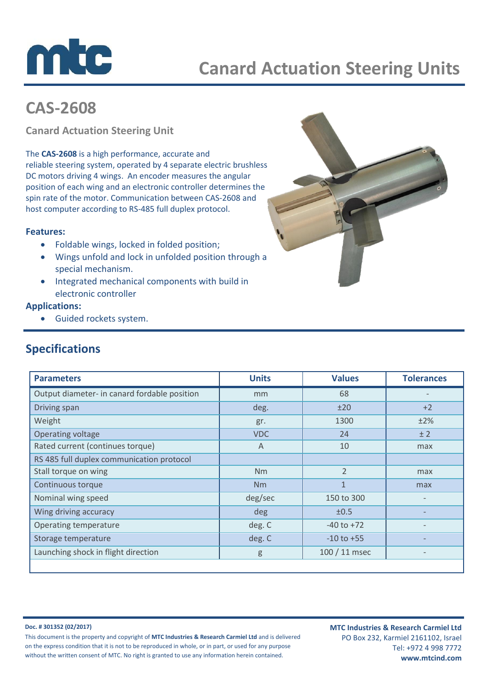

## **CAS-2608**

**Canard Actuation Steering Unit**

The **CAS-2608** is a high performance, accurate and reliable steering system, operated by 4 separate electric brushless DC motors driving 4 wings. An encoder measures the angular position of each wing and an electronic controller determines the spin rate of the motor. Communication between CAS-2608 and host computer according to RS-485 full duplex protocol.

### **Features:**

- Foldable wings, locked in folded position;
- Wings unfold and lock in unfolded position through a special mechanism.
- Integrated mechanical components with build in electronic controller

### **Applications:**

Guided rockets system.

# **Specifications**

| <b>Parameters</b>                            | <b>Units</b> | <b>Values</b>  | <b>Tolerances</b> |
|----------------------------------------------|--------------|----------------|-------------------|
| Output diameter- in canard fordable position | mm           | 68             |                   |
| Driving span                                 | deg.         | ±20            | $+2$              |
| Weight                                       | gr.          | 1300           | ±2%               |
| Operating voltage                            | <b>VDC</b>   | 24             | ± 2               |
| Rated current (continues torque)             | A            | 10             | max               |
| RS 485 full duplex communication protocol    |              |                |                   |
| Stall torque on wing                         | Nm           | $\overline{2}$ | max               |
| Continuous torque                            | Nm           | $\mathbf{1}$   | max               |
| Nominal wing speed                           | deg/sec      | 150 to 300     |                   |
| Wing driving accuracy                        | deg          | ±0.5           |                   |
| Operating temperature                        | deg. C       | $-40$ to $+72$ |                   |
| Storage temperature                          | deg. C       | $-10$ to $+55$ |                   |
| Launching shock in flight direction          | g            | 100 / 11 msec  |                   |
|                                              |              |                |                   |

**Doc. # 301352 (02/2017)**

This document is the property and copyright of **MTC Industries & Research Carmiel Ltd** and is delivered on the express condition that it is not to be reproduced in whole, or in part, or used for any purpose without the written consent of MTC. No right is granted to use any information herein contained.

**MTC Industries & Research Carmiel Ltd** PO Box 232, Karmiel 2161102, Israel Tel: +972 4 998 7772 **www.mtcind.com**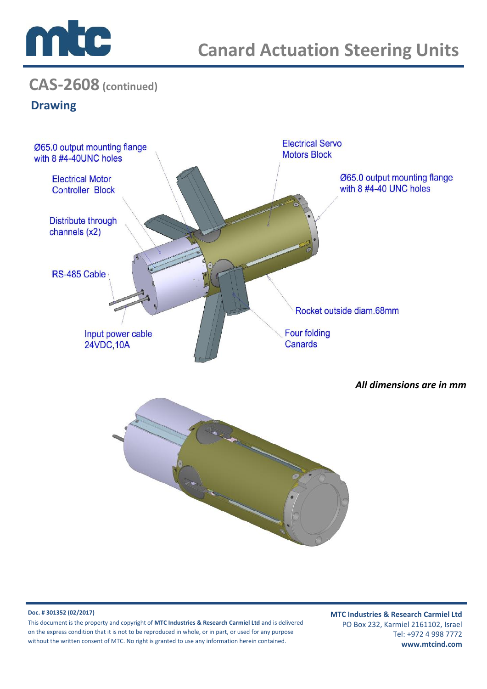

## **CAS-2608 (continued)**

### **Drawing**



#### **Doc. # 301352 (02/2017)**

This document is the property and copyright of **MTC Industries & Research Carmiel Ltd** and is delivered on the express condition that it is not to be reproduced in whole, or in part, or used for any purpose without the written consent of MTC. No right is granted to use any information herein contained.

**MTC Industries & Research Carmiel Ltd** PO Box 232, Karmiel 2161102, Israel Tel: +972 4 998 7772 **www.mtcind.com**